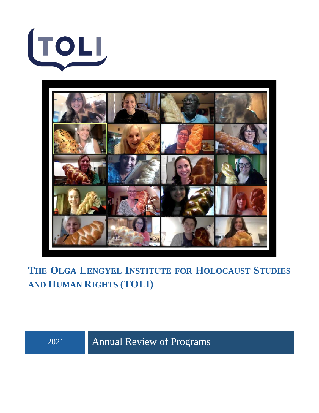



**THE OLGA LENGYEL INSTITUTE FOR HOLOCAUST STUDIES AND HUMAN RIGHTS (TOLI)**

2021 Annual Review of Programs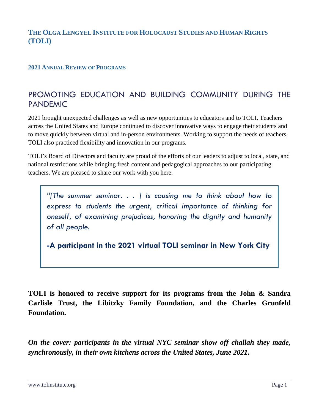# **THE OLGA LENGYEL INSTITUTE FOR HOLOCAUST STUDIES AND HUMAN RIGHTS (TOLI)**

## **2021 ANNUAL REVIEW OF PROGRAMS**

# PROMOTING EDUCATION AND BUILDING COMMUNITY DURING THE PANDEMIC

2021 brought unexpected challenges as well as new opportunities to educators and to TOLI. Teachers across the United States and Europe continued to discover innovative ways to engage their students and to move quickly between virtual and in-person environments. Working to support the needs of teachers, TOLI also practiced flexibility and innovation in our programs.

TOLI's Board of Directors and faculty are proud of the efforts of our leaders to adjust to local, state, and national restrictions while bringing fresh content and pedagogical approaches to our participating teachers. We are pleased to share our work with you here.

*"[The summer seminar. . . ] is causing me to think about how to express to students the urgent, critical importance of thinking for oneself, of examining prejudices, honoring the dignity and humanity of all people.*

**-A participant in the 2021 virtual TOLI seminar in New York City**

**TOLI is honored to receive support for its programs from the John & Sandra Carlisle Trust, the Libitzky Family Foundation, and the Charles Grunfeld Foundation.**

*On the cover: participants in the virtual NYC seminar show off challah they made, synchronously, in their own kitchens across the United States, June 2021.*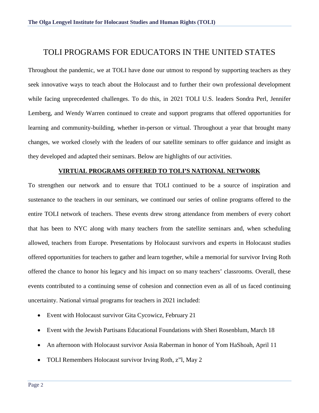# TOLI PROGRAMS FOR EDUCATORS IN THE UNITED STATES

Throughout the pandemic, we at TOLI have done our utmost to respond by supporting teachers as they seek innovative ways to teach about the Holocaust and to further their own professional development while facing unprecedented challenges. To do this, in 2021 TOLI U.S. leaders Sondra Perl, Jennifer Lemberg, and Wendy Warren continued to create and support programs that offered opportunities for learning and community-building, whether in-person or virtual. Throughout a year that brought many changes, we worked closely with the leaders of our satellite seminars to offer guidance and insight as they developed and adapted their seminars. Below are highlights of our activities.

### **VIRTUAL PROGRAMS OFFERED TO TOLI'S NATIONAL NETWORK**

To strengthen our network and to ensure that TOLI continued to be a source of inspiration and sustenance to the teachers in our seminars, we continued our series of online programs offered to the entire TOLI network of teachers. These events drew strong attendance from members of every cohort that has been to NYC along with many teachers from the satellite seminars and, when scheduling allowed, teachers from Europe. Presentations by Holocaust survivors and experts in Holocaust studies offered opportunities for teachers to gather and learn together, while a memorial for survivor Irving Roth offered the chance to honor his legacy and his impact on so many teachers' classrooms. Overall, these events contributed to a continuing sense of cohesion and connection even as all of us faced continuing uncertainty. National virtual programs for teachers in 2021 included:

- Event with Holocaust survivor Gita Cycowicz, February 21
- Event with the Jewish Partisans Educational Foundations with Sheri Rosenblum, March 18
- An afternoon with Holocaust survivor Assia Raberman in honor of Yom HaShoah, April 11
- TOLI Remembers Holocaust survivor Irving Roth, z"l, May 2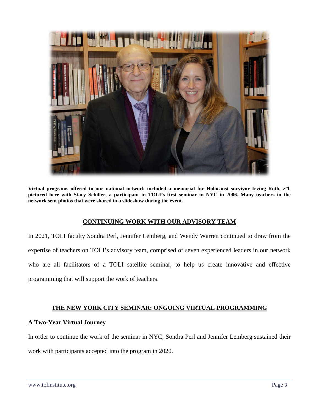

**Virtual programs offered to our national network included a memorial for Holocaust survivor Irving Roth, z"l, pictured here with Stacy Schiller, a participant in TOLI's first seminar in NYC in 2006. Many teachers in the network sent photos that were shared in a slideshow during the event.**

### **CONTINUING WORK WITH OUR ADVISORY TEAM**

In 2021, TOLI faculty Sondra Perl, Jennifer Lemberg, and Wendy Warren continued to draw from the expertise of teachers on TOLI's advisory team, comprised of seven experienced leaders in our network who are all facilitators of a TOLI satellite seminar, to help us create innovative and effective programming that will support the work of teachers.

# **THE NEW YORK CITY SEMINAR: ONGOING VIRTUAL PROGRAMMING**

### **A Two-Year Virtual Journey**

In order to continue the work of the seminar in NYC, Sondra Perl and Jennifer Lemberg sustained their work with participants accepted into the program in 2020.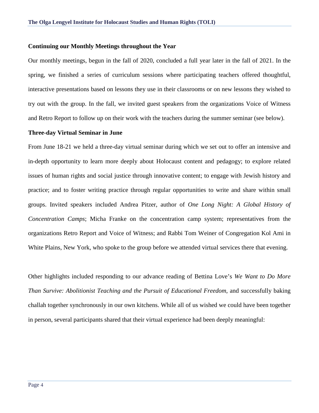#### **Continuing our Monthly Meetings throughout the Year**

Our monthly meetings, begun in the fall of 2020, concluded a full year later in the fall of 2021. In the spring, we finished a series of curriculum sessions where participating teachers offered thoughtful, interactive presentations based on lessons they use in their classrooms or on new lessons they wished to try out with the group. In the fall, we invited guest speakers from the organizations Voice of Witness and Retro Report to follow up on their work with the teachers during the summer seminar (see below).

#### **Three-day Virtual Seminar in June**

From June 18-21 we held a three-day virtual seminar during which we set out to offer an intensive and in-depth opportunity to learn more deeply about Holocaust content and pedagogy; to explore related issues of human rights and social justice through innovative content; to engage with Jewish history and practice; and to foster writing practice through regular opportunities to write and share within small groups. Invited speakers included Andrea Pitzer, author of *One Long Night: A Global History of Concentration Camps*; Micha Franke on the concentration camp system; representatives from the organizations Retro Report and Voice of Witness; and Rabbi Tom Weiner of Congregation Kol Ami in White Plains, New York, who spoke to the group before we attended virtual services there that evening.

Other highlights included responding to our advance reading of Bettina Love's *We Want to Do More Than Survive: Abolitionist Teaching and the Pursuit of Educational Freedom*, and successfully baking challah together synchronously in our own kitchens. While all of us wished we could have been together in person, several participants shared that their virtual experience had been deeply meaningful: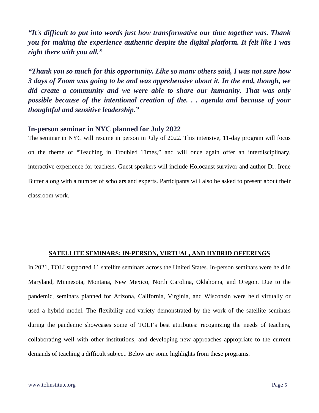*"It's difficult to put into words just how transformative our time together was. Thank you for making the experience authentic despite the digital platform. It felt like I was right there with you all."*

*"Thank you so much for this opportunity. Like so many others said, I was not sure how 3 days of Zoom was going to be and was apprehensive about it. In the end, though, we did create a community and we were able to share our humanity. That was only possible because of the intentional creation of the. . . agenda and because of your thoughtful and sensitive leadership."*

# **In-person seminar in NYC planned for July 2022**

The seminar in NYC will resume in person in July of 2022. This intensive, 11-day program will focus on the theme of "Teaching in Troubled Times," and will once again offer an interdisciplinary, interactive experience for teachers. Guest speakers will include Holocaust survivor and author Dr. Irene Butter along with a number of scholars and experts. Participants will also be asked to present about their classroom work.

### **SATELLITE SEMINARS: IN-PERSON, VIRTUAL, AND HYBRID OFFERINGS**

In 2021, TOLI supported 11 satellite seminars across the United States. In-person seminars were held in Maryland, Minnesota, Montana, New Mexico, North Carolina, Oklahoma, and Oregon. Due to the pandemic, seminars planned for Arizona, California, Virginia, and Wisconsin were held virtually or used a hybrid model. The flexibility and variety demonstrated by the work of the satellite seminars during the pandemic showcases some of TOLI's best attributes: recognizing the needs of teachers, collaborating well with other institutions, and developing new approaches appropriate to the current demands of teaching a difficult subject. Below are some highlights from these programs.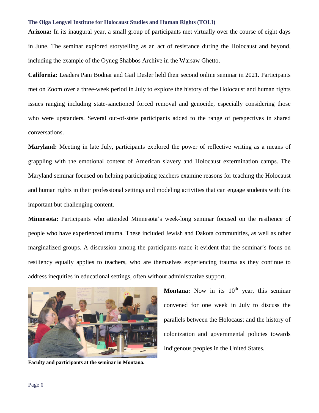#### **The Olga Lengyel Institute for Holocaust Studies and Human Rights (TOLI)**

**Arizona:** In its inaugural year, a small group of participants met virtually over the course of eight days in June. The seminar explored storytelling as an act of resistance during the Holocaust and beyond, including the example of the Oyneg Shabbos Archive in the Warsaw Ghetto.

**California:** Leaders Pam Bodnar and Gail Desler held their second online seminar in 2021. Participants met on Zoom over a three-week period in July to explore the history of the Holocaust and human rights issues ranging including state-sanctioned forced removal and genocide, especially considering those who were upstanders. Several out-of-state participants added to the range of perspectives in shared conversations.

**Maryland:** Meeting in late July, participants explored the power of reflective writing as a means of grappling with the emotional content of American slavery and Holocaust extermination camps. The Maryland seminar focused on helping participating teachers examine reasons for teaching the Holocaust and human rights in their professional settings and modeling activities that can engage students with this important but challenging content.

**Minnesota:** Participants who attended Minnesota's week-long seminar focused on the resilience of people who have experienced trauma. These included Jewish and Dakota communities, as well as other marginalized groups. A discussion among the participants made it evident that the seminar's focus on resiliency equally applies to teachers, who are themselves experiencing trauma as they continue to address inequities in educational settings, often without administrative support.



**Faculty and participants at the seminar in Montana.**

**Montana:** Now in its 10<sup>th</sup> year, this seminar convened for one week in July to discuss the parallels between the Holocaust and the history of colonization and governmental policies towards Indigenous peoples in the United States.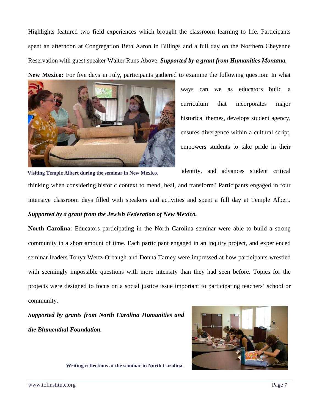Highlights featured two field experiences which brought the classroom learning to life. Participants spent an afternoon at Congregation Beth Aaron in Billings and a full day on the Northern Cheyenne Reservation with guest speaker Walter Runs Above. *Supported by a grant from Humanities Montana.*

**New Mexico:** For five days in July, participants gathered to examine the following question: In what



ways can we as educators build a curriculum that incorporates major historical themes, develops student agency, ensures divergence within a cultural script, empowers students to take pride in their

identity, and advances student critical thinking when considering historic context to mend, heal, and transform? Participants engaged in four intensive classroom days filled with speakers and activities and spent a full day at Temple Albert. *Supported by a grant from the Jewish Federation of New Mexico.* **Visiting Temple Albert during the seminar in New Mexico.**

**North Carolina**: Educators participating in the North Carolina seminar were able to build a strong community in a short amount of time. Each participant engaged in an inquiry project, and experienced seminar leaders Tonya Wertz-Orbaugh and Donna Tarney were impressed at how participants wrestled with seemingly impossible questions with more intensity than they had seen before. Topics for the projects were designed to focus on a social justice issue important to participating teachers' school or community.

*Supported by grants from North Carolina Humanities and the Blumenthal Foundation.*



**Writing reflections at the seminar in North Carolina.**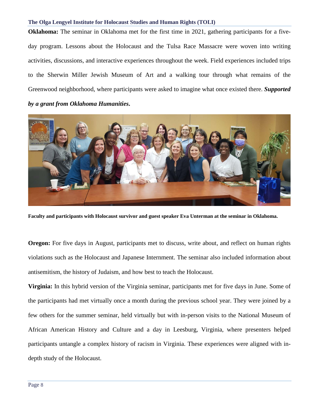#### **The Olga Lengyel Institute for Holocaust Studies and Human Rights (TOLI)**

**Oklahoma:** The seminar in Oklahoma met for the first time in 2021, gathering participants for a fiveday program. Lessons about the Holocaust and the Tulsa Race Massacre were woven into writing activities, discussions, and interactive experiences throughout the week. Field experiences included trips to the Sherwin Miller Jewish Museum of Art and a walking tour through what remains of the Greenwood neighborhood, where participants were asked to imagine what once existed there. *Supported by a grant from Oklahoma Humanities***.**



**Faculty and participants with Holocaust survivor and guest speaker Eva Unterman at the seminar in Oklahoma.**

**Oregon:** For five days in August, participants met to discuss, write about, and reflect on human rights violations such as the Holocaust and Japanese Internment. The seminar also included information about antisemitism, the history of Judaism, and how best to teach the Holocaust.

**Virginia:** In this hybrid version of the Virginia seminar, participants met for five days in June. Some of the participants had met virtually once a month during the previous school year. They were joined by a few others for the summer seminar, held virtually but with in-person visits to the National Museum of African American History and Culture and a day in Leesburg, Virginia, where presenters helped participants untangle a complex history of racism in Virginia. These experiences were aligned with indepth study of the Holocaust.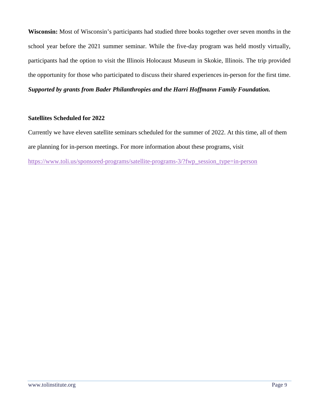**Wisconsin:** Most of Wisconsin's participants had studied three books together over seven months in the school year before the 2021 summer seminar. While the five-day program was held mostly virtually, participants had the option to visit the Illinois Holocaust Museum in Skokie, Illinois. The trip provided the opportunity for those who participated to discuss their shared experiences in-person for the first time. *Supported by grants from Bader Philanthropies and the Harri Hoffmann Family Foundation.*

## **Satellites Scheduled for 2022**

Currently we have eleven satellite seminars scheduled for the summer of 2022. At this time, all of them are planning for in-person meetings. For more information about these programs, visit [https://www.toli.us/sponsored-programs/satellite-programs-3/?fwp\\_session\\_type=in-person](https://www.toli.us/sponsored-programs/satellite-programs-3/?fwp_session_type=in-person)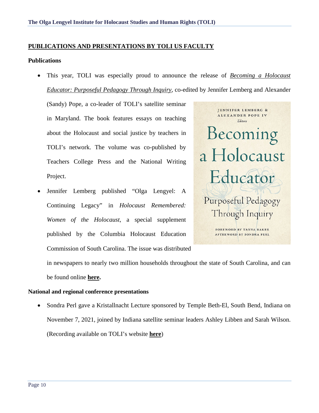### **PUBLICATIONS AND PRESENTATIONS BY TOLI US FACULTY**

#### **Publications**

• This year, TOLI was especially proud to announce the release of *[Becoming a Holocaust](https://www.tcpress.com/becoming-a-holocaust-educator-9780807764367?page_id=1034,Teachers)  [Educator: Purposeful Pedagogy Through Inquiry](https://www.tcpress.com/becoming-a-holocaust-educator-9780807764367?page_id=1034,Teachers)*, co-edited by Jennifer Lemberg and Alexander

(Sandy) Pope, a co-leader of TOLI's satellite seminar in Maryland. The book features essays on teaching about the Holocaust and social justice by teachers in TOLI's network. The volume was co-published by Teachers College Press and the National Writing Project.

• Jennifer Lemberg published "Olga Lengyel: A Continuing Legacy" in *Holocaust Remembered: Women of the Holocaust*, a special supplement published by the Columbia Holocaust Education Commission of South Carolina. The issue was distributed



in newspapers to nearly two million households throughout the state of South Carolina, and can be found online **[here.](https://www.postandcourier.com/free-times/holocaust-remembered/html_eb17f076-fcc1-11e9-9f2c-d3348fbd06de.html)**

#### **National and regional conference presentations**

• Sondra Perl gave a Kristallnacht Lecture sponsored by Temple Beth-El, South Bend, Indiana on November 7, 2021, joined by Indiana satellite seminar leaders Ashley Libben and Sarah Wilson. (Recording available on TOLI's website **[here](https://www.toli.us/video/teaching-about-the-holocaust-and-human-rights-is-hope-possible/)**)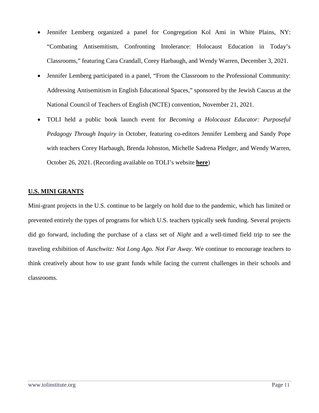- Jennifer Lemberg organized a panel for Congregation Kol Ami in White Plains, NY: "Combating Antisemitism, Confronting Intolerance: Holocaust Education in Today's Classrooms," featuring Cara Crandall, Corey Harbaugh, and Wendy Warren, December 3, 2021.
- Jennifer Lemberg participated in a panel, "From the Classroom to the Professional Community: Addressing Antisemitism in English Educational Spaces," sponsored by the Jewish Caucus at the National Council of Teachers of English (NCTE) convention, November 21, 2021.
- TOLI held a public book launch event for *Becoming a Holocaust Educator: Purposeful Pedagogy Through Inquiry* in October, featuring co-editors Jennifer Lemberg and Sandy Pope with teachers Corey Harbaugh, Brenda Johnston, Michelle Sadrena Pledger, and Wendy Warren, October 26, 2021. (Recording available on TOLI's website **[here](https://vimeo.com/639651589)**)

## **U.S. MINI GRANTS**

Mini-grant projects in the U.S. continue to be largely on hold due to the pandemic, which has limited or prevented entirely the types of programs for which U.S. teachers typically seek funding. Several projects did go forward, including the purchase of a class set of *Night* and a well-timed field trip to see the traveling exhibition of *Auschwitz: Not Long Ago. Not Far Away*. We continue to encourage teachers to think creatively about how to use grant funds while facing the current challenges in their schools and classrooms.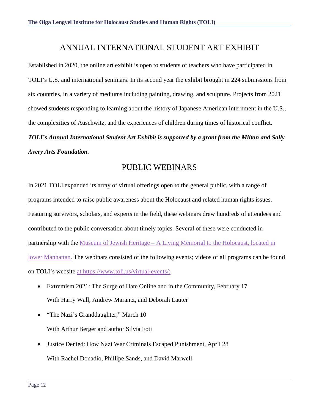# ANNUAL INTERNATIONAL STUDENT ART EXHIBIT

Established in 2020, the online art exhibit is open to students of teachers who have participated in TOLI's U.S. and international seminars. In its second year the exhibit brought in 224 submissions from six countries, in a variety of mediums including painting, drawing, and sculpture. Projects from 2021 showed students responding to learning about the history of Japanese American internment in the U.S., the complexities of Auschwitz, and the experiences of children during times of historical conflict. *TOLI's Annual International Student Art Exhibit is supported by a grant from the Milton and Sally Avery Arts Foundation.*

# PUBLIC WEBINARS

In 2021 TOLI expanded its array of virtual offerings open to the general public, with a range of programs intended to raise public awareness about the Holocaust and related human rights issues. Featuring survivors, scholars, and experts in the field, these webinars drew hundreds of attendees and contributed to the public conversation about timely topics. Several of these were conducted in partnership with the Museum of Jewish Heritage – [A Living Memorial to the Holocaust, located in](https://mjhnyc.org/)  [lower Manhattan.](https://mjhnyc.org/) The webinars consisted of the following events; videos of all programs can be found on TOLI's website [at https://www.toli.us/virtual-events/:](file://fs1/jen/Holocaust_educators/2021-2022/Annual%20Review%20of%20Programs/at%20https:/www.toli.us/virtual-events/:)

- Extremism 2021: The Surge of Hate Online and in the Community, February 17 With Harry Wall, Andrew Marantz, and Deborah Lauter
- "The Nazi's Granddaughter," March 10 With Arthur Berger and author Silvia Foti
- Justice Denied: How Nazi War Criminals Escaped Punishment, April 28 With Rachel Donadio, Phillipe Sands, and David Marwell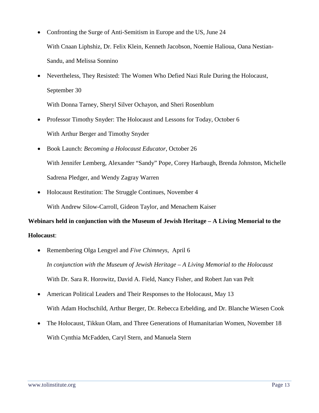- Confronting the Surge of Anti-Semitism in Europe and the US, June 24 With Cnaan Liphshiz, Dr. Felix Klein, Kenneth Jacobson, Noemie Halioua, Oana Nestian-Sandu, and Melissa Sonnino
- Nevertheless, They Resisted: The Women Who Defied Nazi Rule During the Holocaust, September 30

With Donna Tarney, Sheryl Silver Ochayon, and Sheri Rosenblum

- Professor Timothy Snyder: The Holocaust and Lessons for Today, October 6 With Arthur Berger and Timothy Snyder
- Book Launch: *Becoming a Holocaust Educator*, October 26 With Jennifer Lemberg, Alexander "Sandy" Pope, Corey Harbaugh, Brenda Johnston, Michelle Sadrena Pledger, and Wendy Zagray Warren
- Holocaust Restitution: The Struggle Continues, November 4 With Andrew Silow-Carroll, Gideon Taylor, and Menachem Kaiser

**Webinars held in conjunction with the Museum of Jewish Heritage – A Living Memorial to the Holocaust**:

- Remembering Olga Lengyel and *Five Chimneys*, April 6 *In conjunction with the Museum of Jewish Heritage – A Living Memorial to the Holocaust* With Dr. Sara R. Horowitz, David A. Field, Nancy Fisher, and Robert Jan van Pelt
- American Political Leaders and Their Responses to the Holocaust, May 13 With Adam Hochschild, Arthur Berger, Dr. Rebecca Erbelding, and Dr. Blanche Wiesen Cook
- The Holocaust, Tikkun Olam, and Three Generations of Humanitarian Women, November 18 With Cynthia McFadden, Caryl Stern, and Manuela Stern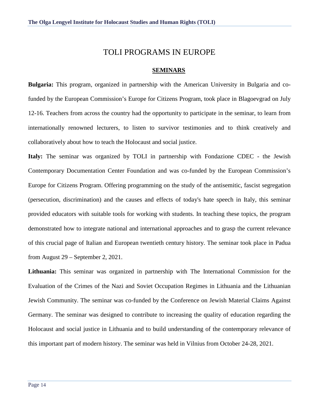# TOLI PROGRAMS IN EUROPE

#### **SEMINARS**

**Bulgaria:** This program, organized in partnership with the American University in Bulgaria and cofunded by the European Commission's Europe for Citizens Program, took place in Blagoevgrad on July 12-16. Teachers from across the country had the opportunity to participate in the seminar, to learn from internationally renowned lecturers, to listen to survivor testimonies and to think creatively and collaboratively about how to teach the Holocaust and social justice.

**Italy:** The seminar was organized by TOLI in partnership with Fondazione CDEC - the Jewish Contemporary Documentation Center Foundation and was co-funded by the European Commission's Europe for Citizens Program. Offering programming on the study of the antisemitic, fascist segregation (persecution, discrimination) and the causes and effects of today's hate speech in Italy, this seminar provided educators with suitable tools for working with students. In teaching these topics, the program demonstrated how to integrate national and international approaches and to grasp the current relevance of this crucial page of Italian and European twentieth century history. The seminar took place in Padua from August 29 – September 2, 2021.

**Lithuania:** This seminar was organized in partnership with The International Commission for the Evaluation of the Crimes of the Nazi and Soviet Occupation Regimes in Lithuania and the Lithuanian Jewish Community. The seminar was co-funded by the Conference on Jewish Material Claims Against Germany. The seminar was designed to contribute to increasing the quality of education regarding the Holocaust and social justice in Lithuania and to build understanding of the contemporary relevance of this important part of modern history. The seminar was held in Vilnius from October 24-28, 2021.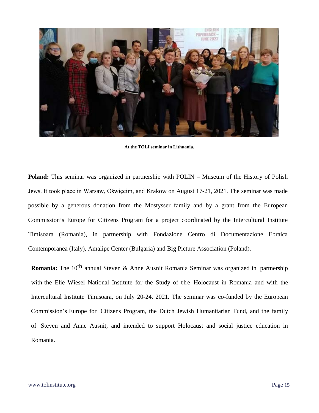

**At the TOLI seminar in Lithuania.**

**Poland:** This seminar was organized in partnership with POLIN – Museum of the History of Polish Jews. It took place in Warsaw, Oświęcim, and Krakow on August 17-21, 2021. The seminar was made possible by a generous donation from the Mostysser family and by a grant from the European Commission's Europe for Citizens Program for a project coordinated by the Intercultural Institute Timisoara (Romania), in partnership with Fondazione Centro di Documentazione Ebraica Contemporanea (Italy), Amalipe Center (Bulgaria) and Big Picture Association (Poland).

**Romania:** The 10<sup>th</sup> annual Steven & Anne Ausnit Romania Seminar was organized in partnership with the Elie Wiesel National Institute for the Study of the Holocaust in Romania and with the Intercultural Institute Timisoara, on July 20-24, 2021. The seminar was co-funded by the European Commission's Europe for Citizens Program, the Dutch Jewish Humanitarian Fund, and the family of Steven and Anne Ausnit, and intended to support Holocaust and social justice education in Romania.